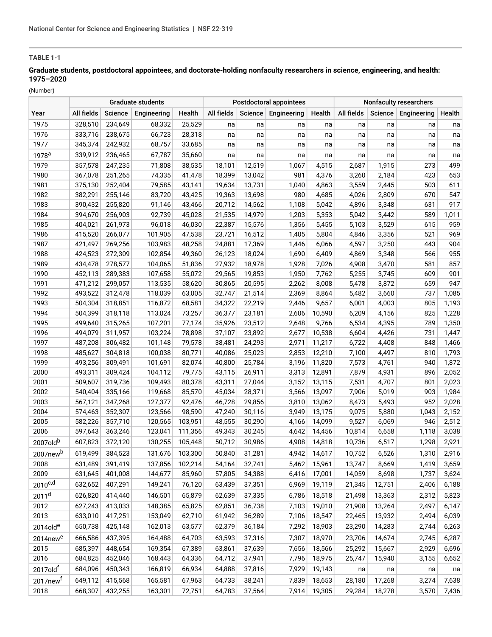## **TABLE 1-1**

# **Graduate students, postdoctoral appointees, and doctorate-holding nonfaculty researchers in science, engineering, and health: 1975–2020**

(Number)

|                      | Graduate students |         |             |         |            |         | Postdoctoral appointees |        | <b>Nonfaculty researchers</b> |         |             |        |  |
|----------------------|-------------------|---------|-------------|---------|------------|---------|-------------------------|--------|-------------------------------|---------|-------------|--------|--|
| Year                 | All fields        | Science | Engineering | Health  | All fields | Science | Engineering             | Health | All fields                    | Science | Engineering | Health |  |
| 1975                 | 328,510           | 234,649 | 68,332      | 25,529  | na         | na      | na                      | na     | na                            | na      | na          | na     |  |
| 1976                 | 333,716           | 238,675 | 66,723      | 28,318  | na         | na      | na                      | na     | na                            | na      | na          | na     |  |
| 1977                 | 345,374           | 242,932 | 68,757      | 33,685  | na         | na      | na                      | na     | na                            | na      | na          | na     |  |
| 1978 <sup>a</sup>    | 339,912           | 236,465 | 67,787      | 35,660  | na         | na      | na                      | na     | na                            | na      | na          | na     |  |
| 1979                 | 357,578           | 247,235 | 71,808      | 38,535  | 18,101     | 12,519  | 1,067                   | 4,515  | 2,687                         | 1,915   | 273         | 499    |  |
| 1980                 | 367,078           | 251,265 | 74,335      | 41,478  | 18,399     | 13,042  | 981                     | 4,376  | 3,260                         | 2,184   | 423         | 653    |  |
| 1981                 | 375,130           | 252,404 | 79,585      | 43,141  | 19,634     | 13,731  | 1,040                   | 4,863  | 3,559                         | 2,445   | 503         | 611    |  |
| 1982                 | 382,291           | 255,146 | 83,720      | 43,425  | 19,363     | 13,698  | 980                     | 4,685  | 4,026                         | 2,809   | 670         | 547    |  |
| 1983                 | 390,432           | 255,820 | 91,146      | 43,466  | 20,712     | 14,562  | 1,108                   | 5,042  | 4,896                         | 3,348   | 631         | 917    |  |
| 1984                 | 394,670           | 256,903 | 92,739      | 45,028  | 21,535     | 14,979  | 1,203                   | 5,353  | 5,042                         | 3,442   | 589         | 1,011  |  |
| 1985                 | 404,021           | 261,973 | 96,018      | 46,030  | 22,387     | 15,576  | 1,356                   | 5,455  | 5,103                         | 3,529   | 615         | 959    |  |
| 1986                 | 415,520           | 266,077 | 101,905     | 47,538  | 23,721     | 16,512  | 1,405                   | 5,804  | 4,846                         | 3,356   | 521         | 969    |  |
| 1987                 | 421,497           | 269,256 | 103,983     | 48,258  | 24,881     | 17,369  | 1,446                   | 6,066  | 4,597                         | 3,250   | 443         | 904    |  |
| 1988                 | 424,523           | 272,309 | 102,854     | 49,360  | 26,123     | 18,024  | 1,690                   | 6,409  | 4,869                         | 3,348   | 566         | 955    |  |
| 1989                 | 434,478           | 278,577 | 104,065     | 51,836  | 27,932     | 18,978  | 1,928                   | 7,026  | 4,908                         | 3,470   | 581         | 857    |  |
| 1990                 | 452,113           | 289,383 | 107,658     | 55,072  | 29,565     | 19,853  | 1,950                   | 7,762  | 5,255                         | 3,745   | 609         | 901    |  |
| 1991                 | 471,212           | 299,057 | 113,535     | 58,620  | 30,865     | 20,595  | 2,262                   | 8,008  | 5,478                         | 3,872   | 659         | 947    |  |
| 1992                 | 493,522           | 312,478 | 118,039     | 63,005  | 32,747     | 21,514  | 2,369                   | 8,864  | 5,482                         | 3,660   | 737         | 1,085  |  |
| 1993                 | 504,304           | 318,851 | 116,872     | 68,581  | 34,322     | 22,219  | 2,446                   | 9,657  | 6,001                         | 4,003   | 805         | 1,193  |  |
| 1994                 | 504,399           | 318,118 | 113,024     | 73,257  | 36,377     | 23,181  | 2,606                   | 10,590 | 6,209                         | 4,156   | 825         | 1,228  |  |
| 1995                 | 499,640           | 315,265 | 107,201     | 77,174  | 35,926     | 23,512  | 2,648                   | 9,766  | 6,534                         | 4,395   | 789         | 1,350  |  |
| 1996                 | 494,079           | 311,957 | 103,224     | 78,898  | 37,107     | 23,892  | 2,677                   | 10,538 | 6,604                         | 4,426   | 731         | 1,447  |  |
| 1997                 | 487,208           | 306,482 | 101,148     | 79,578  | 38,481     | 24,293  | 2,971                   | 11,217 | 6,722                         | 4,408   | 848         | 1,466  |  |
| 1998                 | 485,627           | 304,818 | 100,038     | 80,771  | 40,086     | 25,023  | 2,853                   | 12,210 | 7,100                         | 4,497   | 810         | 1,793  |  |
| 1999                 | 493,256           | 309,491 | 101,691     | 82,074  | 40,800     | 25,784  | 3,196                   | 11,820 | 7,573                         | 4,761   | 940         | 1,872  |  |
| 2000                 | 493,311           | 309,424 | 104,112     | 79,775  | 43,115     | 26,911  | 3,313                   | 12,891 | 7,879                         | 4,931   | 896         | 2,052  |  |
| 2001                 | 509,607           | 319,736 | 109,493     | 80,378  | 43,311     | 27,044  | 3,152                   | 13,115 | 7,531                         | 4,707   | 801         | 2,023  |  |
| 2002                 | 540,404           | 335,166 | 119,668     | 85,570  | 45,034     | 28,371  | 3,566                   | 13,097 | 7,906                         | 5,019   | 903         | 1,984  |  |
| 2003                 | 567,121           | 347,268 | 127,377     | 92,476  | 46,728     | 29,856  | 3,810                   | 13,062 | 8,473                         | 5,493   | 952         | 2,028  |  |
| 2004                 | 574,463           | 352,307 | 123,566     | 98,590  | 47,240     | 30,116  | 3,949                   | 13,175 | 9,075                         | 5,880   | 1,043       | 2,152  |  |
| 2005                 | 582,226           | 357,710 | 120,565     | 103,951 | 48,555     | 30,290  | 4,166                   | 14,099 | 9,527                         | 6,069   | 946         | 2,512  |  |
| 2006                 | 597,643           | 363,246 | 123,041     | 111,356 | 49,343     | 30,245  | 4,642                   | 14,456 | 10,814                        | 6,658   | 1,118       | 3,038  |  |
| 2007oldb             | 607,823           | 372,120 | 130,255     | 105,448 | 50,712     | 30,986  | 4,908                   | 14,818 | 10,736                        | 6,517   | 1,298       | 2,921  |  |
| 2007newb             | 619,499           | 384,523 | 131,676     | 103,300 | 50,840     | 31,281  | 4,942                   | 14,617 | 10,752                        | 6,526   | 1,310       | 2,916  |  |
| 2008                 | 631,489           | 391,419 | 137,856     | 102,214 | 54,164     | 32,741  | 5,462                   | 15,961 | 13,747                        | 8,669   | 1,419       | 3,659  |  |
| 2009                 | 631,645           | 401,008 | 144,677     | 85,960  | 57,805     | 34,388  | 6,416                   | 17,001 | 14,059                        | 8,698   | 1,737       | 3,624  |  |
| $2010^{c,d}$         | 632,652           | 407,291 | 149,241     | 76,120  | 63,439     | 37,351  | 6,969                   | 19,119 | 21,345                        | 12,751  | 2,406       | 6,188  |  |
| 2011 <sup>d</sup>    | 626,820           | 414,440 | 146,501     | 65,879  | 62,639     | 37,335  | 6,786                   | 18,518 | 21,498                        | 13,363  | 2,312       | 5,823  |  |
| 2012                 | 627,243           | 413,033 | 148,385     | 65,825  | 62,851     | 36,738  | 7,103                   | 19,010 | 21,908                        | 13,264  | 2,497       | 6,147  |  |
| 2013                 | 633,010           | 417,251 | 153,049     | 62,710  | 61,942     | 36,289  | 7,106                   | 18,547 | 22,465                        | 13,932  | 2,494       | 6,039  |  |
| 2014old <sup>e</sup> | 650,738           | 425,148 | 162,013     | 63,577  | 62,379     | 36,184  | 7,292                   | 18,903 | 23,290                        | 14,283  | 2,744       | 6,263  |  |
| 2014new <sup>e</sup> | 666,586           | 437,395 | 164,488     | 64,703  | 63,593     | 37,316  | 7,307                   | 18,970 | 23,706                        | 14,674  | 2,745       | 6,287  |  |
| 2015                 | 685,397           | 448,654 | 169,354     | 67,389  | 63,861     | 37,639  | 7,656                   | 18,566 | 25,292                        | 15,667  | 2,929       | 6,696  |  |
| 2016                 | 684,825           | 452,046 | 168,443     | 64,336  | 64,712     | 37,941  | 7,796                   | 18,975 | 25,747                        | 15,940  | 3,155       | 6,652  |  |
| 2017old <sup>f</sup> | 684,096           | 450,343 | 166,819     | 66,934  | 64,888     | 37,816  | 7,929                   | 19,143 | na                            | na      | na          | na     |  |
| 2017new <sup>f</sup> | 649,112           | 415,568 | 165,581     | 67,963  | 64,733     | 38,241  | 7,839                   | 18,653 | 28,180                        | 17,268  | 3,274       | 7,638  |  |
| 2018                 | 668,307           | 432,255 | 163,301     | 72,751  | 64,783     | 37,564  | 7,914                   | 19,305 | 29,284                        | 18,278  | 3,570       | 7,436  |  |